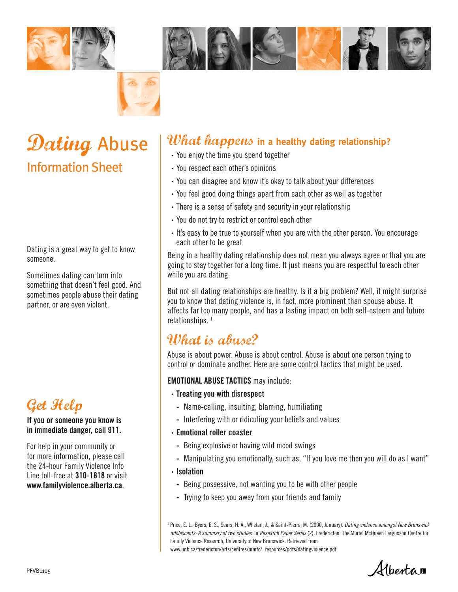





# Dating Abuse Information Sheet

Dating is a great way to get to know someone.

Sometimes dating can turn into something that doesn't feel good. And sometimes people abuse their dating partner, or are even violent.



#### If you or someone you know is in immediate danger, call 911.

For help in your community or for more information, please call the 24-hour Family Violence Info Line toll-free at 310-1818 or visit www.familyviolence.alberta.ca.

## What happens **in a healthy dating relationship?**

- **·** You enjoy the time you spend together
- **·** You respect each other's opinions
- **·** You can disagree and know it's okay to talk about your differences
- **·** You feel good doing things apart from each other as well as together
- **·** There is a sense of safety and security in your relationship
- **·** You do not try to restrict or control each other
- **·** It's easy to be true to yourself when you are with the other person. You encourage each other to be great

Being in a healthy dating relationship does not mean you always agree or that you are going to stay together for a long time. It just means you are respectful to each other while you are dating.

But not all dating relationships are healthy. Is it a big problem? Well, it might surprise you to know that dating violence is, in fact, more prominent than spouse abuse. It affects far too many people, and has a lasting impact on both self-esteem and future relationships.<sup>1</sup>

## What is abuse?

Abuse is about power. Abuse is about control. Abuse is about one person trying to control or dominate another. Here are some control tactics that might be used.

EMOTIONAL ABUSE TACTICS may include:

- **·** Treating you with disrespect
	- **-** Name-calling, insulting, blaming, humiliating
	- **-** Interfering with or ridiculing your beliefs and values
- **·** Emotional roller coaster
	- **-** Being explosive or having wild mood swings
	- **-** Manipulating you emotionally, such as, "If you love me then you will do as I want"
- **·** Isolation
	- **-** Being possessive, not wanting you to be with other people
	- **-** Trying to keep you away from your friends and family

<sup>1</sup> Price, E. L., Byers, E. S., Sears, H. A., Whelan, J., & Saint-Pierre, M. (2000, January). *Dating violence amongst New Brunswick adolescents: A summary of two studies*. In *Research Paper Series* (2). Fredericton: The Muriel McQueen Fergusson Centre for Family Violence Research, University of New Brunswick. Retrieved from www.unb.ca/fredericton/arts/centres/mmfc/\_resources/pdfs/datingviolence.pdf

Albertan